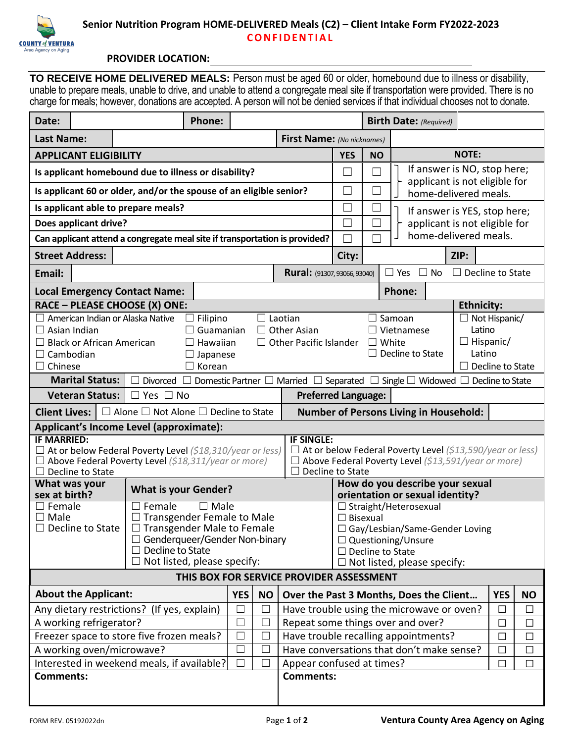

## **PROVIDER LOCATION:**

**TO RECEIVE HOME DELIVERED MEALS:** Person must be aged 60 or older, homebound due to illness or disability, unable to prepare meals, unable to drive, and unable to attend a congregate meal site if transportation were provided. There is no charge for meals; however, donations are accepted. A person will not be denied services if that individual chooses not to donate.

| Date:                                                                                                                                                                                                                          |                                  |                                                                    | Phone:         |            |                                                      |                                                                          |                                                          |                             | <b>Birth Date: (Required)</b>                          |                      |            |           |  |
|--------------------------------------------------------------------------------------------------------------------------------------------------------------------------------------------------------------------------------|----------------------------------|--------------------------------------------------------------------|----------------|------------|------------------------------------------------------|--------------------------------------------------------------------------|----------------------------------------------------------|-----------------------------|--------------------------------------------------------|----------------------|------------|-----------|--|
| <b>Last Name:</b>                                                                                                                                                                                                              |                                  |                                                                    |                |            | First Name: (No nicknames)                           |                                                                          |                                                          |                             |                                                        |                      |            |           |  |
| <b>APPLICANT ELIGIBILITY</b>                                                                                                                                                                                                   |                                  |                                                                    |                |            |                                                      |                                                                          | <b>YES</b>                                               | <b>NO</b>                   |                                                        | <b>NOTE:</b>         |            |           |  |
| Is applicant homebound due to illness or disability?                                                                                                                                                                           |                                  |                                                                    |                |            |                                                      |                                                                          |                                                          | $\mathbf{L}$                | If answer is NO, stop here;                            |                      |            |           |  |
|                                                                                                                                                                                                                                |                                  | Is applicant 60 or older, and/or the spouse of an eligible senior? |                |            |                                                      |                                                                          |                                                          | $\mathcal{L}_{\mathcal{A}}$ | applicant is not eligible for<br>home-delivered meals. |                      |            |           |  |
| Is applicant able to prepare meals?                                                                                                                                                                                            |                                  |                                                                    |                |            |                                                      |                                                                          |                                                          |                             | If answer is YES, stop here;                           |                      |            |           |  |
| Does applicant drive?                                                                                                                                                                                                          |                                  |                                                                    |                |            |                                                      |                                                                          | $\mathcal{L}$<br>$\Box$<br>applicant is not eligible for |                             |                                                        |                      |            |           |  |
| Can applicant attend a congregate meal site if transportation is provided?                                                                                                                                                     |                                  |                                                                    |                |            |                                                      |                                                                          |                                                          | ┌                           | home-delivered meals.                                  |                      |            |           |  |
| <b>Street Address:</b>                                                                                                                                                                                                         |                                  |                                                                    |                |            |                                                      |                                                                          | City:                                                    |                             | ZIP:                                                   |                      |            |           |  |
| Email:                                                                                                                                                                                                                         |                                  |                                                                    |                |            |                                                      | <b>Rural:</b> (91307, 93066, 93040)                                      |                                                          |                             | $\Box$ Decline to State<br>Yes<br><b>No</b><br>$\Box$  |                      |            |           |  |
|                                                                                                                                                                                                                                |                                  | <b>Local Emergency Contact Name:</b>                               |                |            |                                                      |                                                                          |                                                          |                             | <b>Phone:</b>                                          |                      |            |           |  |
|                                                                                                                                                                                                                                |                                  | RACE - PLEASE CHOOSE (X) ONE:                                      |                |            |                                                      |                                                                          |                                                          |                             |                                                        | <b>Ethnicity:</b>    |            |           |  |
|                                                                                                                                                                                                                                | American Indian or Alaska Native |                                                                    | Filipino       |            | $\Box$ Laotian                                       |                                                                          |                                                          |                             | $\Box$ Samoan                                          | $\Box$ Not Hispanic/ |            |           |  |
| Latino<br>Asian Indian<br>Guamanian<br>$\Box$ Other Asian<br>$\Box$ Vietnamese<br>$\perp$                                                                                                                                      |                                  |                                                                    |                |            |                                                      |                                                                          |                                                          |                             |                                                        |                      |            |           |  |
| $\Box$ Other Pacific Islander<br>$\Box$ Hispanic/<br><b>Black or African American</b><br>$\Box$ White<br>Hawaiian                                                                                                              |                                  |                                                                    |                |            |                                                      |                                                                          |                                                          |                             |                                                        |                      |            |           |  |
| Decline to State<br>Latino<br>Cambodian<br>Japanese                                                                                                                                                                            |                                  |                                                                    |                |            |                                                      |                                                                          |                                                          |                             |                                                        |                      |            |           |  |
| Korean<br>Chinese<br>$\Box$ Decline to State<br>$\vert \ \ \vert$<br><b>Marital Status:</b><br>Domestic Partner $\Box$<br>Separated $\Box$ Single $\Box$ Widowed $\Box$<br>Divorced [<br>Married $\square$<br>Decline to State |                                  |                                                                    |                |            |                                                      |                                                                          |                                                          |                             |                                                        |                      |            |           |  |
| <b>Veteran Status:</b><br>$\Box$ Yes $\Box$ No<br><b>Preferred Language:</b>                                                                                                                                                   |                                  |                                                                    |                |            |                                                      |                                                                          |                                                          |                             |                                                        |                      |            |           |  |
| <b>Client Lives:</b>                                                                                                                                                                                                           |                                  |                                                                    |                |            |                                                      | <b>Number of Persons Living in Household:</b>                            |                                                          |                             |                                                        |                      |            |           |  |
| $\Box$ Alone $\Box$ Not Alone $\Box$ Decline to State<br>Applicant's Income Level (approximate):                                                                                                                               |                                  |                                                                    |                |            |                                                      |                                                                          |                                                          |                             |                                                        |                      |            |           |  |
| <b>IF MARRIED:</b>                                                                                                                                                                                                             |                                  |                                                                    |                |            |                                                      | <b>IF SINGLE:</b>                                                        |                                                          |                             |                                                        |                      |            |           |  |
| At or below Federal Poverty Level (\$18,310/year or less)                                                                                                                                                                      |                                  |                                                                    |                |            |                                                      | At or below Federal Poverty Level (\$13,590/year or less)                |                                                          |                             |                                                        |                      |            |           |  |
| Above Federal Poverty Level (\$18,311/year or more)                                                                                                                                                                            |                                  |                                                                    |                |            |                                                      | Above Federal Poverty Level (\$13,591/year or more)                      |                                                          |                             |                                                        |                      |            |           |  |
| Decline to State<br>What was your                                                                                                                                                                                              |                                  |                                                                    |                |            |                                                      | Decline to State<br>$\vert \ \ \vert$<br>How do you describe your sexual |                                                          |                             |                                                        |                      |            |           |  |
| sex at birth?                                                                                                                                                                                                                  |                                  | <b>What is your Gender?</b>                                        |                |            |                                                      | orientation or sexual identity?                                          |                                                          |                             |                                                        |                      |            |           |  |
| $\Box$ Female                                                                                                                                                                                                                  |                                  | Female                                                             | $\square$ Male |            |                                                      |                                                                          |                                                          |                             | $\Box$ Straight/Heterosexual                           |                      |            |           |  |
| $\square$ Male<br>$\Box$ Transgender Female to Male                                                                                                                                                                            |                                  |                                                                    |                |            | $\Box$ Bisexual                                      |                                                                          |                                                          |                             |                                                        |                      |            |           |  |
| Decline to State<br>$\Box$ Transgender Male to Female<br>$\Box$                                                                                                                                                                |                                  |                                                                    |                |            | □ Gay/Lesbian/Same-Gender Loving                     |                                                                          |                                                          |                             |                                                        |                      |            |           |  |
| $\Box$ Genderqueer/Gender Non-binary<br>$\square$ Decline to State                                                                                                                                                             |                                  |                                                                    |                |            | $\Box$ Questioning/Unsure<br>$\Box$ Decline to State |                                                                          |                                                          |                             |                                                        |                      |            |           |  |
| $\Box$ Not listed, please specify:<br>$\Box$ Not listed, please specify:                                                                                                                                                       |                                  |                                                                    |                |            |                                                      |                                                                          |                                                          |                             |                                                        |                      |            |           |  |
|                                                                                                                                                                                                                                |                                  |                                                                    |                |            |                                                      | THIS BOX FOR SERVICE PROVIDER ASSESSMENT                                 |                                                          |                             |                                                        |                      |            |           |  |
|                                                                                                                                                                                                                                | <b>About the Applicant:</b>      |                                                                    |                | <b>YES</b> | <b>NO</b>                                            |                                                                          |                                                          |                             | Over the Past 3 Months, Does the Client                |                      | <b>YES</b> | <b>NO</b> |  |
| Any dietary restrictions? (If yes, explain)                                                                                                                                                                                    |                                  |                                                                    |                | П          |                                                      | Have trouble using the microwave or oven?                                |                                                          |                             |                                                        | $\Box$               | $\Box$     |           |  |
| A working refrigerator?                                                                                                                                                                                                        |                                  |                                                                    |                | $\Box$     |                                                      | Repeat some things over and over?                                        |                                                          |                             | $\Box$                                                 | $\Box$               |            |           |  |
| Freezer space to store five frozen meals?                                                                                                                                                                                      |                                  |                                                                    |                | $\Box$     |                                                      | Have trouble recalling appointments?<br>$\Box$                           |                                                          |                             |                                                        | $\Box$               |            |           |  |
| A working oven/microwave?                                                                                                                                                                                                      |                                  |                                                                    |                | $\Box$     |                                                      | Have conversations that don't make sense?<br>$\Box$                      |                                                          |                             |                                                        | $\Box$               |            |           |  |
| $\Box$<br>Interested in weekend meals, if available?                                                                                                                                                                           |                                  |                                                                    |                |            |                                                      | Appear confused at times?<br>$\Box$                                      |                                                          |                             |                                                        | $\Box$               |            |           |  |
| <b>Comments:</b>                                                                                                                                                                                                               |                                  |                                                                    |                |            |                                                      | <b>Comments:</b>                                                         |                                                          |                             |                                                        |                      |            |           |  |
|                                                                                                                                                                                                                                |                                  |                                                                    |                |            |                                                      |                                                                          |                                                          |                             |                                                        |                      |            |           |  |